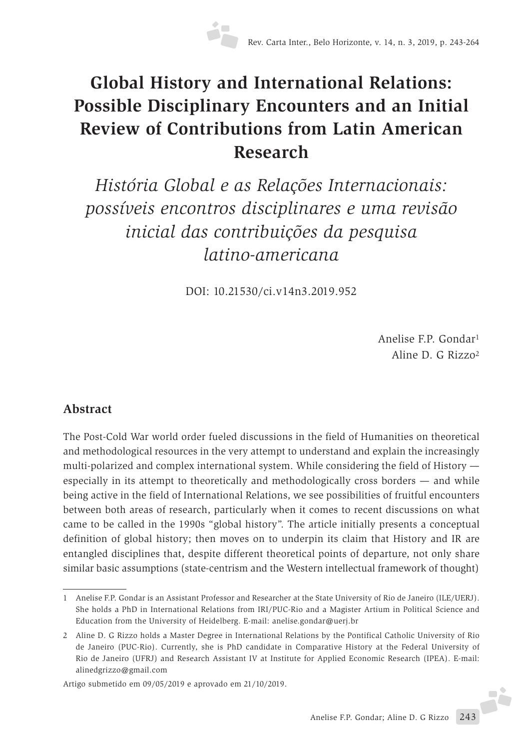# **Global History and International Relations: Possible Disciplinary Encounters and an Initial Review of Contributions from Latin American Research**

*História Global e as Relações Internacionais: possíveis encontros disciplinares e uma revisão inicial das contribuições da pesquisa latino-americana*

DOI: 10.21530/ci.v14n3.2019.952

Anelise F.P. Gondar1 Aline D. G Rizzo2

## **Abstract**

The Post-Cold War world order fueled discussions in the field of Humanities on theoretical and methodological resources in the very attempt to understand and explain the increasingly multi-polarized and complex international system. While considering the field of History especially in its attempt to theoretically and methodologically cross borders — and while being active in the field of International Relations, we see possibilities of fruitful encounters between both areas of research, particularly when it comes to recent discussions on what came to be called in the 1990s "global history". The article initially presents a conceptual definition of global history; then moves on to underpin its claim that History and IR are entangled disciplines that, despite different theoretical points of departure, not only share similar basic assumptions (state-centrism and the Western intellectual framework of thought)

Artigo submetido em 09/05/2019 e aprovado em 21/10/2019.

<sup>1</sup> Anelise F.P. Gondar is an Assistant Professor and Researcher at the State University of Rio de Janeiro (ILE/UERJ). She holds a PhD in International Relations from IRI/PUC-Rio and a Magister Artium in Political Science and Education from the University of Heidelberg. E-mail: anelise.gondar@uerj.br

<sup>2</sup> Aline D. G Rizzo holds a Master Degree in International Relations by the Pontifical Catholic University of Rio de Janeiro (PUC-Rio). Currently, she is PhD candidate in Comparative History at the Federal University of Rio de Janeiro (UFRJ) and Research Assistant IV at Institute for Applied Economic Research (IPEA). E-mail: alinedgrizzo@gmail.com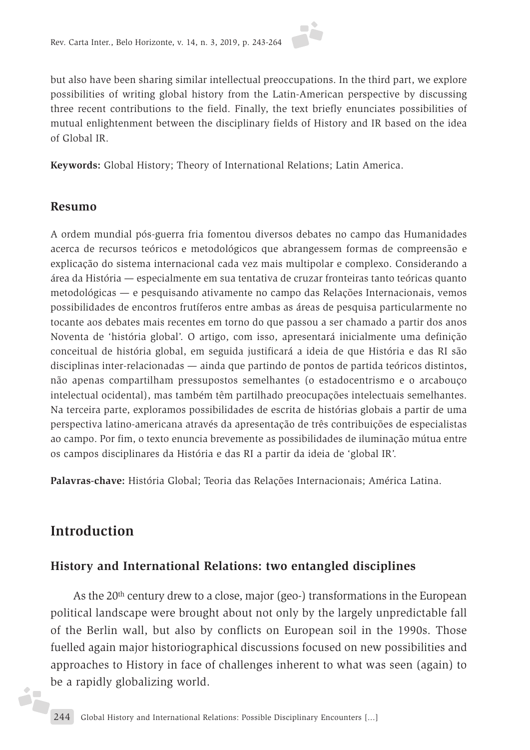but also have been sharing similar intellectual preoccupations. In the third part, we explore possibilities of writing global history from the Latin-American perspective by discussing three recent contributions to the field. Finally, the text briefly enunciates possibilities of mutual enlightenment between the disciplinary fields of History and IR based on the idea of Global IR.

**Keywords:** Global History; Theory of International Relations; Latin America.

#### **Resumo**

A ordem mundial pós-guerra fria fomentou diversos debates no campo das Humanidades acerca de recursos teóricos e metodológicos que abrangessem formas de compreensão e explicação do sistema internacional cada vez mais multipolar e complexo. Considerando a área da História — especialmente em sua tentativa de cruzar fronteiras tanto teóricas quanto metodológicas — e pesquisando ativamente no campo das Relações Internacionais, vemos possibilidades de encontros frutíferos entre ambas as áreas de pesquisa particularmente no tocante aos debates mais recentes em torno do que passou a ser chamado a partir dos anos Noventa de 'história global'. O artigo, com isso, apresentará inicialmente uma definição conceitual de história global, em seguida justificará a ideia de que História e das RI são disciplinas inter-relacionadas — ainda que partindo de pontos de partida teóricos distintos, não apenas compartilham pressupostos semelhantes (o estadocentrismo e o arcabouço intelectual ocidental), mas também têm partilhado preocupações intelectuais semelhantes. Na terceira parte, exploramos possibilidades de escrita de histórias globais a partir de uma perspectiva latino-americana através da apresentação de três contribuições de especialistas ao campo. Por fim, o texto enuncia brevemente as possibilidades de iluminação mútua entre os campos disciplinares da História e das RI a partir da ideia de 'global IR'.

**Palavras-chave:** História Global; Teoria das Relações Internacionais; América Latina.

# **Introduction**

j.

#### **History and International Relations: two entangled disciplines**

As the 20th century drew to a close, major (geo-) transformations in the European political landscape were brought about not only by the largely unpredictable fall of the Berlin wall, but also by conflicts on European soil in the 1990s. Those fuelled again major historiographical discussions focused on new possibilities and approaches to History in face of challenges inherent to what was seen (again) to be a rapidly globalizing world.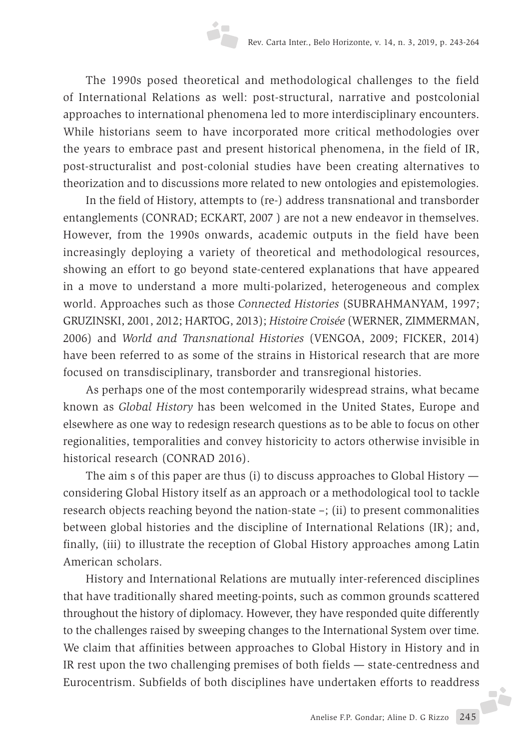The 1990s posed theoretical and methodological challenges to the field of International Relations as well: post-structural, narrative and postcolonial approaches to international phenomena led to more interdisciplinary encounters. While historians seem to have incorporated more critical methodologies over the years to embrace past and present historical phenomena, in the field of IR, post-structuralist and post-colonial studies have been creating alternatives to theorization and to discussions more related to new ontologies and epistemologies.

In the field of History, attempts to (re-) address transnational and transborder entanglements (CONRAD; ECKART, 2007 ) are not a new endeavor in themselves. However, from the 1990s onwards, academic outputs in the field have been increasingly deploying a variety of theoretical and methodological resources, showing an effort to go beyond state-centered explanations that have appeared in a move to understand a more multi-polarized, heterogeneous and complex world. Approaches such as those *Connected Histories* (SUBRAHMANYAM, 1997; GRUZINSKI, 2001, 2012; HARTOG, 2013); *Histoire Croisée* (WERNER, ZIMMERMAN, 2006) and *World and Transnational Histories* (VENGOA, 2009; FICKER, 2014) have been referred to as some of the strains in Historical research that are more focused on transdisciplinary, transborder and transregional histories.

As perhaps one of the most contemporarily widespread strains, what became known as *Global History* has been welcomed in the United States, Europe and elsewhere as one way to redesign research questions as to be able to focus on other regionalities, temporalities and convey historicity to actors otherwise invisible in historical research (CONRAD 2016).

The aim s of this paper are thus (i) to discuss approaches to Global History considering Global History itself as an approach or a methodological tool to tackle research objects reaching beyond the nation-state  $-$ ; (ii) to present commonalities between global histories and the discipline of International Relations (IR); and, finally, (iii) to illustrate the reception of Global History approaches among Latin American scholars.

History and International Relations are mutually inter-referenced disciplines that have traditionally shared meeting-points, such as common grounds scattered throughout the history of diplomacy. However, they have responded quite differently to the challenges raised by sweeping changes to the International System over time. We claim that affinities between approaches to Global History in History and in IR rest upon the two challenging premises of both fields — state-centredness and Eurocentrism. Subfields of both disciplines have undertaken efforts to readdress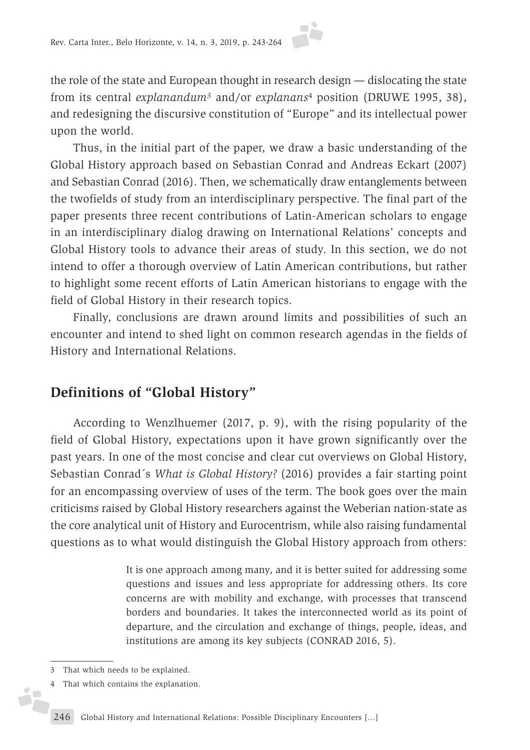the role of the state and European thought in research design — dislocating the state from its central *explanandum3* and/or *explanans*4 position (DRUWE 1995, 38), and redesigning the discursive constitution of "Europe" and its intellectual power upon the world.

Thus, in the initial part of the paper, we draw a basic understanding of the Global History approach based on Sebastian Conrad and Andreas Eckart (2007) and Sebastian Conrad (2016). Then, we schematically draw entanglements between the twofields of study from an interdisciplinary perspective. The final part of the paper presents three recent contributions of Latin-American scholars to engage in an interdisciplinary dialog drawing on International Relations' concepts and Global History tools to advance their areas of study. In this section, we do not intend to offer a thorough overview of Latin American contributions, but rather to highlight some recent efforts of Latin American historians to engage with the field of Global History in their research topics.

Finally, conclusions are drawn around limits and possibilities of such an encounter and intend to shed light on common research agendas in the fields of History and International Relations.

# **Definitions of "Global History"**

According to Wenzlhuemer (2017, p. 9), with the rising popularity of the field of Global History, expectations upon it have grown significantly over the past years. In one of the most concise and clear cut overviews on Global History, Sebastian Conrad´s *What is Global History?* (2016) provides a fair starting point for an encompassing overview of uses of the term. The book goes over the main criticisms raised by Global History researchers against the Weberian nation-state as the core analytical unit of History and Eurocentrism, while also raising fundamental questions as to what would distinguish the Global History approach from others:

> It is one approach among many, and it is better suited for addressing some questions and issues and less appropriate for addressing others. Its core concerns are with mobility and exchange, with processes that transcend borders and boundaries. It takes the interconnected world as its point of departure, and the circulation and exchange of things, people, ideas, and institutions are among its key subjects (CONRAD 2016, 5).

<sup>3</sup> That which needs to be explained.

<sup>4</sup> That which contains the explanation.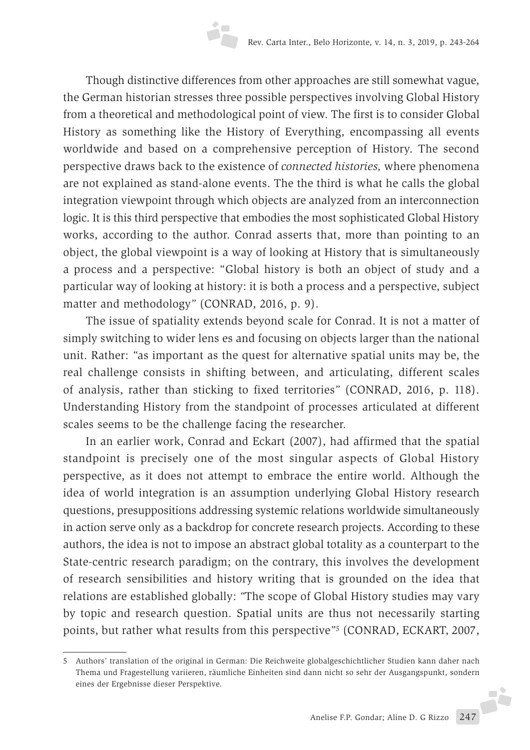Though distinctive differences from other approaches are still somewhat vague, the German historian stresses three possible perspectives involving Global History from a theoretical and methodological point of view. The first is to consider Global History as something like the History of Everything, encompassing all events worldwide and based on a comprehensive perception of History. The second perspective draws back to the existence of *connected histories,* where phenomena are not explained as stand-alone events. The the third is what he calls the global integration viewpoint through which objects are analyzed from an interconnection logic. It is this third perspective that embodies the most sophisticated Global History works, according to the author. Conrad asserts that, more than pointing to an object, the global viewpoint is a way of looking at History that is simultaneously a process and a perspective: "Global history is both an object of study and a particular way of looking at history: it is both a process and a perspective, subject matter and methodology*"* (CONRAD, 2016, p. 9).

The issue of spatiality extends beyond scale for Conrad. It is not a matter of simply switching to wider lens es and focusing on objects larger than the national unit. Rather: *"*as important as the quest for alternative spatial units may be, the real challenge consists in shifting between, and articulating, different scales of analysis, rather than sticking to fixed territories*"* (CONRAD, 2016, p. 118). Understanding History from the standpoint of processes articulated at different scales seems to be the challenge facing the researcher.

In an earlier work, Conrad and Eckart (2007), had affirmed that the spatial standpoint is precisely one of the most singular aspects of Global History perspective, as it does not attempt to embrace the entire world. Although the idea of world integration is an assumption underlying Global History research questions, presuppositions addressing systemic relations worldwide simultaneously in action serve only as a backdrop for concrete research projects. According to these authors, the idea is not to impose an abstract global totality as a counterpart to the State-centric research paradigm; on the contrary, this involves the development of research sensibilities and history writing that is grounded on the idea that relations are established globally: *"*The scope of Global History studies may vary by topic and research question. Spatial units are thus not necessarily starting points, but rather what results from this perspective*"5* (CONRAD, ECKART, 2007,

<sup>5</sup> Authors' translation of the original in German: Die Reichweite globalgeschichtlicher Studien kann daher nach Thema und Fragestellung variieren, räumliche Einheiten sind dann nicht so sehr der Ausgangspunkt, sondern eines der Ergebnisse dieser Perspektive.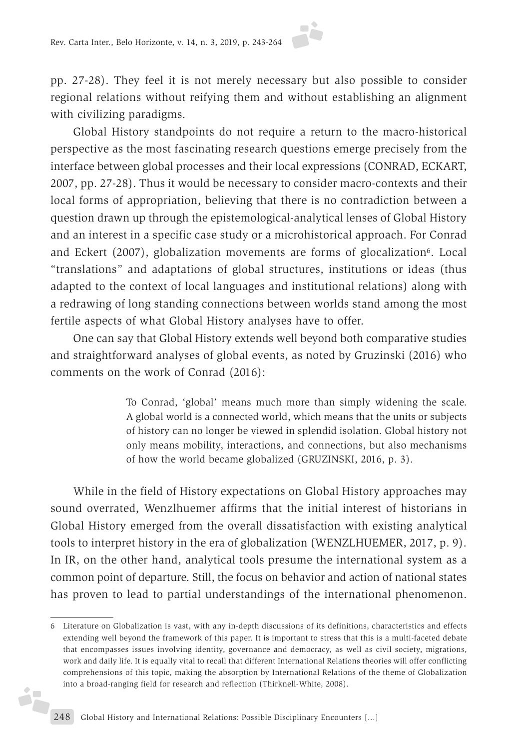pp. 27-28). They feel it is not merely necessary but also possible to consider regional relations without reifying them and without establishing an alignment with civilizing paradigms.

Global History standpoints do not require a return to the macro-historical perspective as the most fascinating research questions emerge precisely from the interface between global processes and their local expressions (CONRAD, ECKART, 2007, pp. 27-28). Thus it would be necessary to consider macro-contexts and their local forms of appropriation, believing that there is no contradiction between a question drawn up through the epistemological-analytical lenses of Global History and an interest in a specific case study or a microhistorical approach. For Conrad and Eckert (2007), globalization movements are forms of glocalization6. Local "translations" and adaptations of global structures, institutions or ideas (thus adapted to the context of local languages and institutional relations) along with a redrawing of long standing connections between worlds stand among the most fertile aspects of what Global History analyses have to offer.

One can say that Global History extends well beyond both comparative studies and straightforward analyses of global events, as noted by Gruzinski (2016) who comments on the work of Conrad (2016):

> To Conrad, 'global' means much more than simply widening the scale. A global world is a connected world, which means that the units or subjects of history can no longer be viewed in splendid isolation. Global history not only means mobility, interactions, and connections, but also mechanisms of how the world became globalized (GRUZINSKI, 2016, p. 3).

While in the field of History expectations on Global History approaches may sound overrated, Wenzlhuemer affirms that the initial interest of historians in Global History emerged from the overall dissatisfaction with existing analytical tools to interpret history in the era of globalization (WENZLHUEMER, 2017, p. 9). In IR, on the other hand, analytical tools presume the international system as a common point of departure. Still, the focus on behavior and action of national states has proven to lead to partial understandings of the international phenomenon.

j.

<sup>6</sup> Literature on Globalization is vast, with any in-depth discussions of its definitions, characteristics and effects extending well beyond the framework of this paper. It is important to stress that this is a multi-faceted debate that encompasses issues involving identity, governance and democracy, as well as civil society, migrations, work and daily life. It is equally vital to recall that different International Relations theories will offer conflicting comprehensions of this topic, making the absorption by International Relations of the theme of Globalization into a broad-ranging field for research and reflection (Thirknell-White, 2008).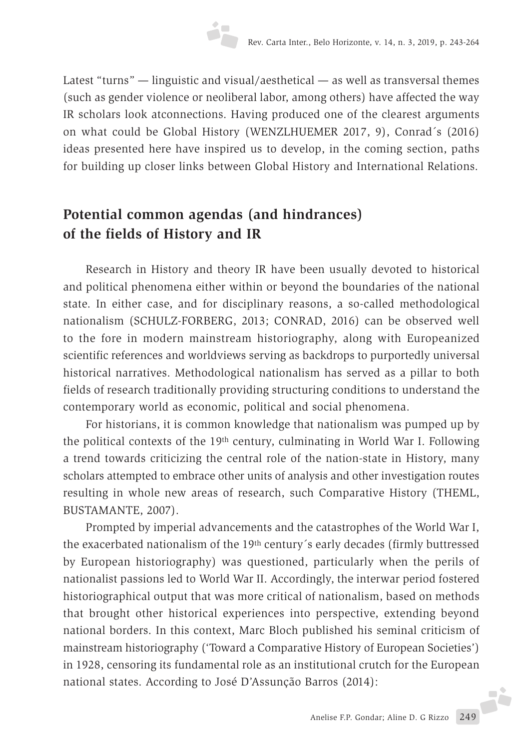Latest "turns" — linguistic and visual/aesthetical — as well as transversal themes (such as gender violence or neoliberal labor, among others) have affected the way IR scholars look atconnections. Having produced one of the clearest arguments on what could be Global History (WENZLHUEMER 2017, 9), Conrad´s (2016) ideas presented here have inspired us to develop, in the coming section, paths for building up closer links between Global History and International Relations.

# **Potential common agendas (and hindrances) of the fields of History and IR**

Research in History and theory IR have been usually devoted to historical and political phenomena either within or beyond the boundaries of the national state. In either case, and for disciplinary reasons, a so-called methodological nationalism (SCHULZ-FORBERG, 2013; CONRAD, 2016) can be observed well to the fore in modern mainstream historiography, along with Europeanized scientific references and worldviews serving as backdrops to purportedly universal historical narratives. Methodological nationalism has served as a pillar to both fields of research traditionally providing structuring conditions to understand the contemporary world as economic, political and social phenomena.

For historians, it is common knowledge that nationalism was pumped up by the political contexts of the 19th century, culminating in World War I. Following a trend towards criticizing the central role of the nation-state in History, many scholars attempted to embrace other units of analysis and other investigation routes resulting in whole new areas of research, such Comparative History (THEML, BUSTAMANTE, 2007).

Prompted by imperial advancements and the catastrophes of the World War I, the exacerbated nationalism of the 19th century´s early decades (firmly buttressed by European historiography) was questioned, particularly when the perils of nationalist passions led to World War II. Accordingly, the interwar period fostered historiographical output that was more critical of nationalism, based on methods that brought other historical experiences into perspective, extending beyond national borders. In this context, Marc Bloch published his seminal criticism of mainstream historiography ('Toward a Comparative History of European Societies') in 1928, censoring its fundamental role as an institutional crutch for the European national states. According to José D'Assunção Barros (2014):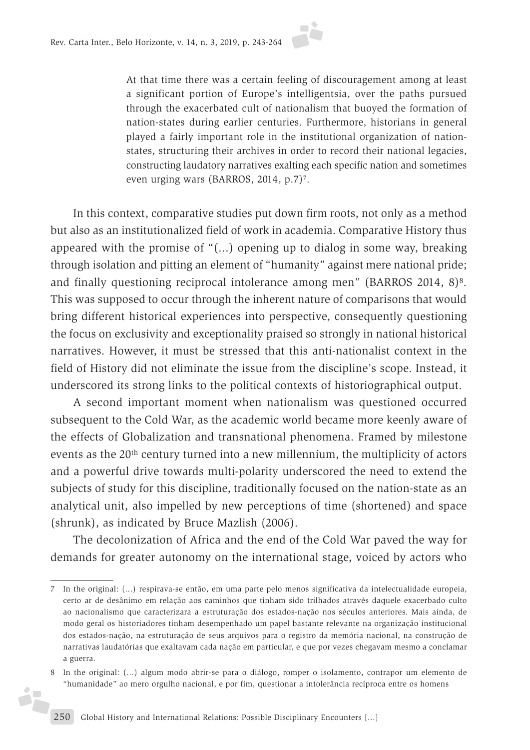

At that time there was a certain feeling of discouragement among at least a significant portion of Europe's intelligentsia, over the paths pursued through the exacerbated cult of nationalism that buoyed the formation of nation-states during earlier centuries. Furthermore, historians in general played a fairly important role in the institutional organization of nationstates, structuring their archives in order to record their national legacies, constructing laudatory narratives exalting each specific nation and sometimes even urging wars (BARROS, 2014, p.7)<sup>7</sup>.

In this context, comparative studies put down firm roots, not only as a method but also as an institutionalized field of work in academia. Comparative History thus appeared with the promise of "(...) opening up to dialog in some way, breaking through isolation and pitting an element of "humanity" against mere national pride; and finally questioning reciprocal intolerance among men" (BARROS 2014, 8)8. This was supposed to occur through the inherent nature of comparisons that would bring different historical experiences into perspective, consequently questioning the focus on exclusivity and exceptionality praised so strongly in national historical narratives. However, it must be stressed that this anti-nationalist context in the field of History did not eliminate the issue from the discipline's scope. Instead, it underscored its strong links to the political contexts of historiographical output.

A second important moment when nationalism was questioned occurred subsequent to the Cold War, as the academic world became more keenly aware of the effects of Globalization and transnational phenomena. Framed by milestone events as the 20th century turned into a new millennium, the multiplicity of actors and a powerful drive towards multi-polarity underscored the need to extend the subjects of study for this discipline, traditionally focused on the nation-state as an analytical unit, also impelled by new perceptions of time (shortened) and space (shrunk), as indicated by Bruce Mazlish (2006).

The decolonization of Africa and the end of the Cold War paved the way for demands for greater autonomy on the international stage, voiced by actors who

i,

<sup>7</sup> In the original: (...) respirava-se então, em uma parte pelo menos significativa da intelectualidade europeia, certo ar de desânimo em relação aos caminhos que tinham sido trilhados através daquele exacerbado culto ao nacionalismo que caracterizara a estruturação dos estados-nação nos séculos anteriores. Mais ainda, de modo geral os historiadores tinham desempenhado um papel bastante relevante na organização institucional dos estados-nação, na estruturação de seus arquivos para o registro da memória nacional, na construção de narrativas laudatórias que exaltavam cada nação em particular, e que por vezes chegavam mesmo a conclamar a guerra.

<sup>8</sup> In the original: (...) algum modo abrir-se para o diálogo, romper o isolamento, contrapor um elemento de "humanidade" ao mero orgulho nacional, e por fim, questionar a intolerância recíproca entre os homens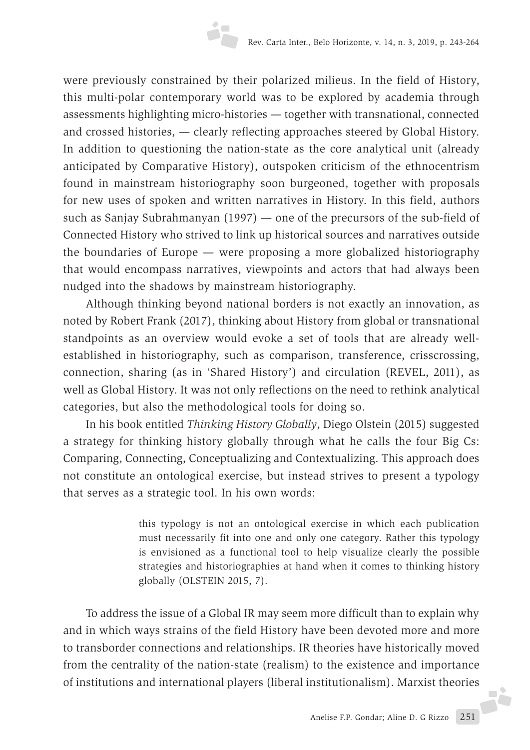were previously constrained by their polarized milieus. In the field of History, this multi-polar contemporary world was to be explored by academia through assessments highlighting micro-histories — together with transnational, connected and crossed histories, — clearly reflecting approaches steered by Global History. In addition to questioning the nation-state as the core analytical unit (already anticipated by Comparative History), outspoken criticism of the ethnocentrism found in mainstream historiography soon burgeoned, together with proposals for new uses of spoken and written narratives in History. In this field, authors such as Sanjay Subrahmanyan (1997) — one of the precursors of the sub-field of Connected History who strived to link up historical sources and narratives outside the boundaries of Europe — were proposing a more globalized historiography that would encompass narratives, viewpoints and actors that had always been nudged into the shadows by mainstream historiography.

Although thinking beyond national borders is not exactly an innovation, as noted by Robert Frank (2017), thinking about History from global or transnational standpoints as an overview would evoke a set of tools that are already wellestablished in historiography, such as comparison, transference, crisscrossing, connection, sharing (as in 'Shared History') and circulation (REVEL, 2011), as well as Global History. It was not only reflections on the need to rethink analytical categories, but also the methodological tools for doing so.

In his book entitled *Thinking History Globally*, Diego Olstein (2015) suggested a strategy for thinking history globally through what he calls the four Big Cs: Comparing, Connecting, Conceptualizing and Contextualizing. This approach does not constitute an ontological exercise, but instead strives to present a typology that serves as a strategic tool. In his own words:

> this typology is not an ontological exercise in which each publication must necessarily fit into one and only one category. Rather this typology is envisioned as a functional tool to help visualize clearly the possible strategies and historiographies at hand when it comes to thinking history globally (OLSTEIN 2015, 7).

To address the issue of a Global IR may seem more difficult than to explain why and in which ways strains of the field History have been devoted more and more to transborder connections and relationships. IR theories have historically moved from the centrality of the nation-state (realism) to the existence and importance of institutions and international players (liberal institutionalism). Marxist theories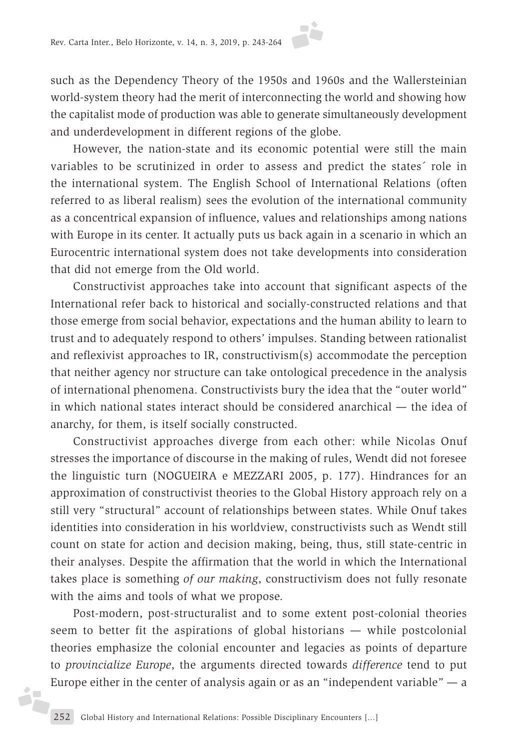such as the Dependency Theory of the 1950s and 1960s and the Wallersteinian world-system theory had the merit of interconnecting the world and showing how the capitalist mode of production was able to generate simultaneously development and underdevelopment in different regions of the globe.

However, the nation-state and its economic potential were still the main variables to be scrutinized in order to assess and predict the states´ role in the international system. The English School of International Relations (often referred to as liberal realism) sees the evolution of the international community as a concentrical expansion of influence, values and relationships among nations with Europe in its center. It actually puts us back again in a scenario in which an Eurocentric international system does not take developments into consideration that did not emerge from the Old world.

Constructivist approaches take into account that significant aspects of the International refer back to historical and socially-constructed relations and that those emerge from social behavior, expectations and the human ability to learn to trust and to adequately respond to others' impulses. Standing between rationalist and reflexivist approaches to IR, constructivism(s) accommodate the perception that neither agency nor structure can take ontological precedence in the analysis of international phenomena. Constructivists bury the idea that the "outer world" in which national states interact should be considered anarchical — the idea of anarchy, for them, is itself socially constructed.

Constructivist approaches diverge from each other: while Nicolas Onuf stresses the importance of discourse in the making of rules, Wendt did not foresee the linguistic turn (NOGUEIRA e MEZZARI 2005, p. 177). Hindrances for an approximation of constructivist theories to the Global History approach rely on a still very "structural" account of relationships between states. While Onuf takes identities into consideration in his worldview, constructivists such as Wendt still count on state for action and decision making, being, thus, still state-centric in their analyses. Despite the affirmation that the world in which the International takes place is something *of our making*, constructivism does not fully resonate with the aims and tools of what we propose.

Post-modern, post-structuralist and to some extent post-colonial theories seem to better fit the aspirations of global historians — while postcolonial theories emphasize the colonial encounter and legacies as points of departure to *provincialize Europe*, the arguments directed towards *difference* tend to put Europe either in the center of analysis again or as an "independent variable"  $-$  a

d.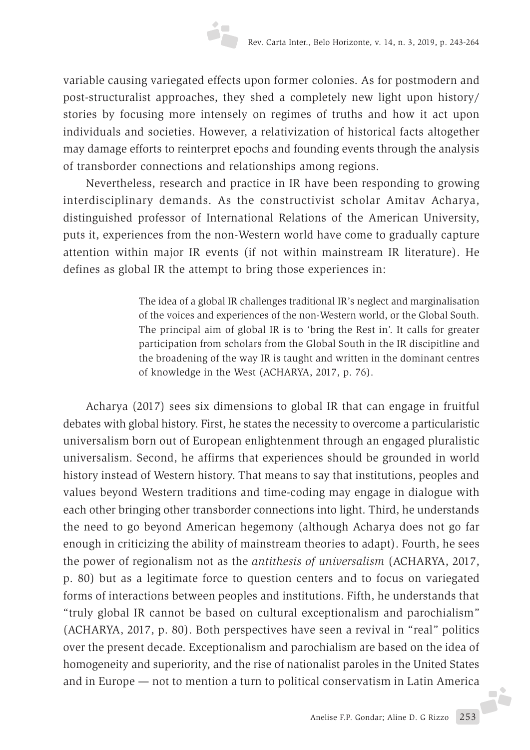variable causing variegated effects upon former colonies. As for postmodern and post-structuralist approaches, they shed a completely new light upon history/ stories by focusing more intensely on regimes of truths and how it act upon individuals and societies. However, a relativization of historical facts altogether may damage efforts to reinterpret epochs and founding events through the analysis of transborder connections and relationships among regions.

Nevertheless, research and practice in IR have been responding to growing interdisciplinary demands. As the constructivist scholar Amitav Acharya, distinguished professor of International Relations of the American University, puts it, experiences from the non-Western world have come to gradually capture attention within major IR events (if not within mainstream IR literature). He defines as global IR the attempt to bring those experiences in:

> The idea of a global IR challenges traditional IR's neglect and marginalisation of the voices and experiences of the non-Western world, or the Global South. The principal aim of global IR is to 'bring the Rest in'. It calls for greater participation from scholars from the Global South in the IR discipitline and the broadening of the way IR is taught and written in the dominant centres of knowledge in the West (ACHARYA, 2017, p. 76).

Acharya (2017) sees six dimensions to global IR that can engage in fruitful debates with global history. First, he states the necessity to overcome a particularistic universalism born out of European enlightenment through an engaged pluralistic universalism. Second, he affirms that experiences should be grounded in world history instead of Western history. That means to say that institutions, peoples and values beyond Western traditions and time-coding may engage in dialogue with each other bringing other transborder connections into light. Third, he understands the need to go beyond American hegemony (although Acharya does not go far enough in criticizing the ability of mainstream theories to adapt). Fourth, he sees the power of regionalism not as the *antithesis of universalism* (ACHARYA, 2017, p. 80) but as a legitimate force to question centers and to focus on variegated forms of interactions between peoples and institutions. Fifth, he understands that "truly global IR cannot be based on cultural exceptionalism and parochialism" (ACHARYA, 2017, p. 80). Both perspectives have seen a revival in "real" politics over the present decade. Exceptionalism and parochialism are based on the idea of homogeneity and superiority, and the rise of nationalist paroles in the United States and in Europe — not to mention a turn to political conservatism in Latin America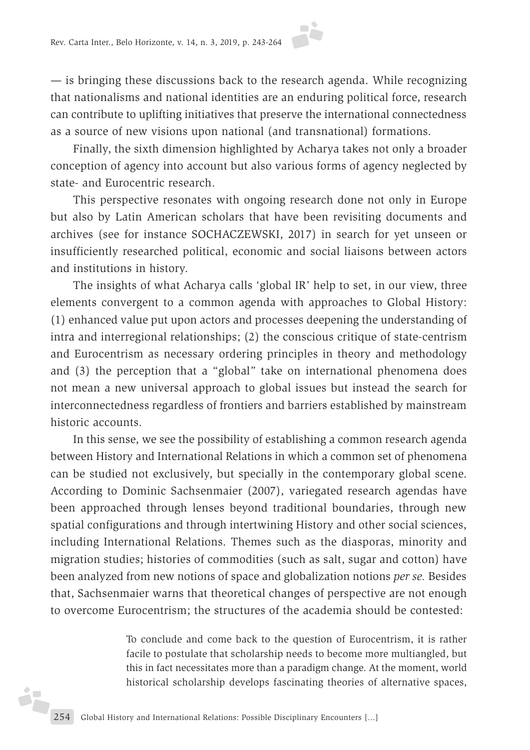— is bringing these discussions back to the research agenda. While recognizing that nationalisms and national identities are an enduring political force, research can contribute to uplifting initiatives that preserve the international connectedness as a source of new visions upon national (and transnational) formations.

Finally, the sixth dimension highlighted by Acharya takes not only a broader conception of agency into account but also various forms of agency neglected by state- and Eurocentric research.

This perspective resonates with ongoing research done not only in Europe but also by Latin American scholars that have been revisiting documents and archives (see for instance SOCHACZEWSKI, 2017) in search for yet unseen or insufficiently researched political, economic and social liaisons between actors and institutions in history.

The insights of what Acharya calls 'global IR' help to set, in our view, three elements convergent to a common agenda with approaches to Global History: (1) enhanced value put upon actors and processes deepening the understanding of intra and interregional relationships; (2) the conscious critique of state-centrism and Eurocentrism as necessary ordering principles in theory and methodology and (3) the perception that a "global" take on international phenomena does not mean a new universal approach to global issues but instead the search for interconnectedness regardless of frontiers and barriers established by mainstream historic accounts.

In this sense, we see the possibility of establishing a common research agenda between History and International Relations in which a common set of phenomena can be studied not exclusively, but specially in the contemporary global scene. According to Dominic Sachsenmaier (2007), variegated research agendas have been approached through lenses beyond traditional boundaries, through new spatial configurations and through intertwining History and other social sciences, including International Relations. Themes such as the diasporas, minority and migration studies; histories of commodities (such as salt, sugar and cotton) have been analyzed from new notions of space and globalization notions *per se.* Besides that, Sachsenmaier warns that theoretical changes of perspective are not enough to overcome Eurocentrism; the structures of the academia should be contested:

> To conclude and come back to the question of Eurocentrism, it is rather facile to postulate that scholarship needs to become more multiangled, but this in fact necessitates more than a paradigm change. At the moment, world historical scholarship develops fascinating theories of alternative spaces,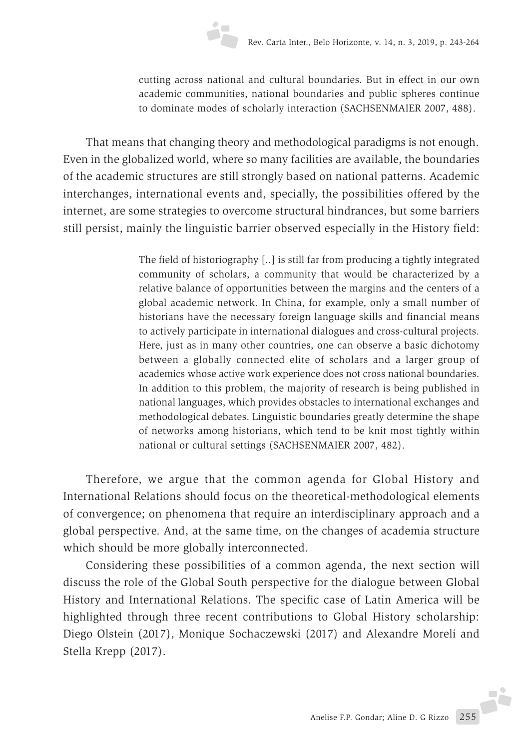cutting across national and cultural boundaries. But in effect in our own academic communities, national boundaries and public spheres continue to dominate modes of scholarly interaction (SACHSENMAIER 2007, 488).

That means that changing theory and methodological paradigms is not enough. Even in the globalized world, where so many facilities are available, the boundaries of the academic structures are still strongly based on national patterns. Academic interchanges, international events and, specially, the possibilities offered by the internet, are some strategies to overcome structural hindrances, but some barriers still persist, mainly the linguistic barrier observed especially in the History field:

> The field of historiography [..] is still far from producing a tightly integrated community of scholars, a community that would be characterized by a relative balance of opportunities between the margins and the centers of a global academic network. In China, for example, only a small number of historians have the necessary foreign language skills and financial means to actively participate in international dialogues and cross-cultural projects. Here, just as in many other countries, one can observe a basic dichotomy between a globally connected elite of scholars and a larger group of academics whose active work experience does not cross national boundaries. In addition to this problem, the majority of research is being published in national languages, which provides obstacles to international exchanges and methodological debates. Linguistic boundaries greatly determine the shape of networks among historians, which tend to be knit most tightly within national or cultural settings (SACHSENMAIER 2007, 482).

Therefore, we argue that the common agenda for Global History and International Relations should focus on the theoretical-methodological elements of convergence; on phenomena that require an interdisciplinary approach and a global perspective. And, at the same time, on the changes of academia structure which should be more globally interconnected.

Considering these possibilities of a common agenda, the next section will discuss the role of the Global South perspective for the dialogue between Global History and International Relations. The specific case of Latin America will be highlighted through three recent contributions to Global History scholarship: Diego Olstein (2017), Monique Sochaczewski (2017) and Alexandre Moreli and Stella Krepp (2017).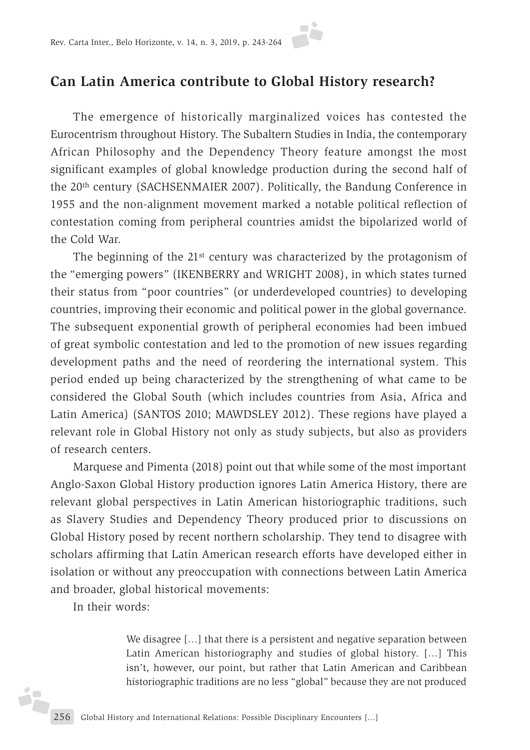# **Can Latin America contribute to Global History research?**

The emergence of historically marginalized voices has contested the Eurocentrism throughout History. The Subaltern Studies in India, the contemporary African Philosophy and the Dependency Theory feature amongst the most significant examples of global knowledge production during the second half of the 20th century (SACHSENMAIER 2007). Politically, the Bandung Conference in 1955 and the non-alignment movement marked a notable political reflection of contestation coming from peripheral countries amidst the bipolarized world of the Cold War.

The beginning of the 21<sup>st</sup> century was characterized by the protagonism of the "emerging powers" (IKENBERRY and WRIGHT 2008), in which states turned their status from "poor countries" (or underdeveloped countries) to developing countries, improving their economic and political power in the global governance. The subsequent exponential growth of peripheral economies had been imbued of great symbolic contestation and led to the promotion of new issues regarding development paths and the need of reordering the international system. This period ended up being characterized by the strengthening of what came to be considered the Global South (which includes countries from Asia, Africa and Latin America) (SANTOS 2010; MAWDSLEY 2012). These regions have played a relevant role in Global History not only as study subjects, but also as providers of research centers.

Marquese and Pimenta (2018) point out that while some of the most important Anglo-Saxon Global History production ignores Latin America History, there are relevant global perspectives in Latin American historiographic traditions, such as Slavery Studies and Dependency Theory produced prior to discussions on Global History posed by recent northern scholarship. They tend to disagree with scholars affirming that Latin American research efforts have developed either in isolation or without any preoccupation with connections between Latin America and broader, global historical movements:

In their words:

ih

We disagree [...] that there is a persistent and negative separation between Latin American historiography and studies of global history. […] This isn't, however, our point, but rather that Latin American and Caribbean historiographic traditions are no less "global" because they are not produced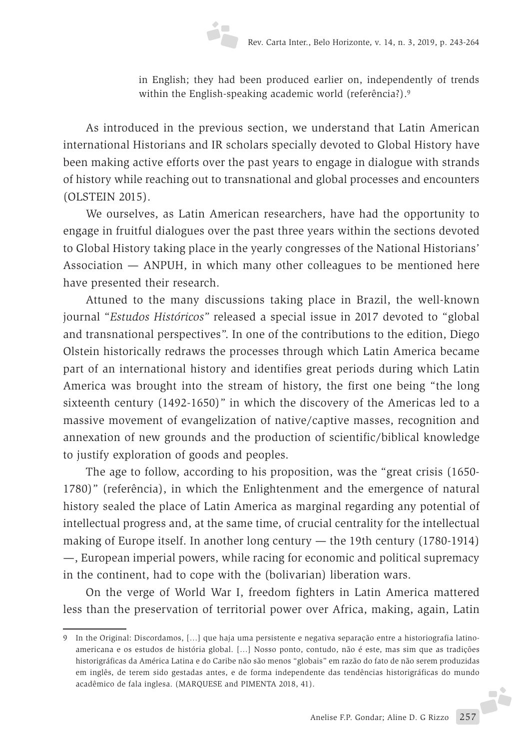in English; they had been produced earlier on, independently of trends within the English-speaking academic world (referência?).<sup>9</sup>

As introduced in the previous section, we understand that Latin American international Historians and IR scholars specially devoted to Global History have been making active efforts over the past years to engage in dialogue with strands of history while reaching out to transnational and global processes and encounters (OLSTEIN 2015).

We ourselves, as Latin American researchers, have had the opportunity to engage in fruitful dialogues over the past three years within the sections devoted to Global History taking place in the yearly congresses of the National Historians' Association — ANPUH, in which many other colleagues to be mentioned here have presented their research.

Attuned to the many discussions taking place in Brazil, the well-known journal "*Estudos Históricos"* released a special issue in 2017 devoted to "global and transnational perspectives". In one of the contributions to the edition, Diego Olstein historically redraws the processes through which Latin America became part of an international history and identifies great periods during which Latin America was brought into the stream of history, the first one being "the long sixteenth century (1492-1650)" in which the discovery of the Americas led to a massive movement of evangelization of native/captive masses, recognition and annexation of new grounds and the production of scientific/biblical knowledge to justify exploration of goods and peoples.

The age to follow, according to his proposition, was the "great crisis (1650- 1780)" (referência), in which the Enlightenment and the emergence of natural history sealed the place of Latin America as marginal regarding any potential of intellectual progress and, at the same time, of crucial centrality for the intellectual making of Europe itself. In another long century — the 19th century (1780-1914) —, European imperial powers, while racing for economic and political supremacy in the continent, had to cope with the (bolivarian) liberation wars.

On the verge of World War I, freedom fighters in Latin America mattered less than the preservation of territorial power over Africa, making, again, Latin

<sup>9</sup> In the Original: Discordamos, […] que haja uma persistente e negativa separação entre a historiografia latinoamericana e os estudos de história global. […] Nosso ponto, contudo, não é este, mas sim que as tradições historigráficas da América Latina e do Caribe não são menos "globais" em razão do fato de não serem produzidas em inglês, de terem sido gestadas antes, e de forma independente das tendências historigráficas do mundo acadêmico de fala inglesa. (MARQUESE and PIMENTA 2018, 41).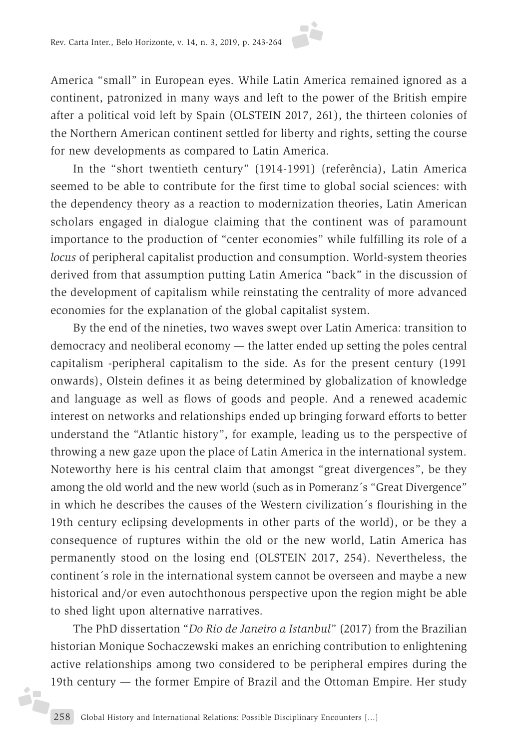America "small" in European eyes. While Latin America remained ignored as a continent, patronized in many ways and left to the power of the British empire after a political void left by Spain (OLSTEIN 2017, 261), the thirteen colonies of the Northern American continent settled for liberty and rights, setting the course for new developments as compared to Latin America.

In the "short twentieth century" (1914-1991) (referência), Latin America seemed to be able to contribute for the first time to global social sciences: with the dependency theory as a reaction to modernization theories, Latin American scholars engaged in dialogue claiming that the continent was of paramount importance to the production of "center economies" while fulfilling its role of a *locus* of peripheral capitalist production and consumption. World-system theories derived from that assumption putting Latin America "back" in the discussion of the development of capitalism while reinstating the centrality of more advanced economies for the explanation of the global capitalist system.

By the end of the nineties, two waves swept over Latin America: transition to democracy and neoliberal economy — the latter ended up setting the poles central capitalism -peripheral capitalism to the side. As for the present century (1991 onwards), Olstein defines it as being determined by globalization of knowledge and language as well as flows of goods and people. And a renewed academic interest on networks and relationships ended up bringing forward efforts to better understand the "Atlantic history", for example, leading us to the perspective of throwing a new gaze upon the place of Latin America in the international system. Noteworthy here is his central claim that amongst "great divergences", be they among the old world and the new world (such as in Pomeranz´s "Great Divergence" in which he describes the causes of the Western civilization´s flourishing in the 19th century eclipsing developments in other parts of the world), or be they a consequence of ruptures within the old or the new world, Latin America has permanently stood on the losing end (OLSTEIN 2017, 254). Nevertheless, the continent´s role in the international system cannot be overseen and maybe a new historical and/or even autochthonous perspective upon the region might be able to shed light upon alternative narratives.

The PhD dissertation "*Do Rio de Janeiro a Istanbul*" (2017) from the Brazilian historian Monique Sochaczewski makes an enriching contribution to enlightening active relationships among two considered to be peripheral empires during the 19th century — the former Empire of Brazil and the Ottoman Empire. Her study

j.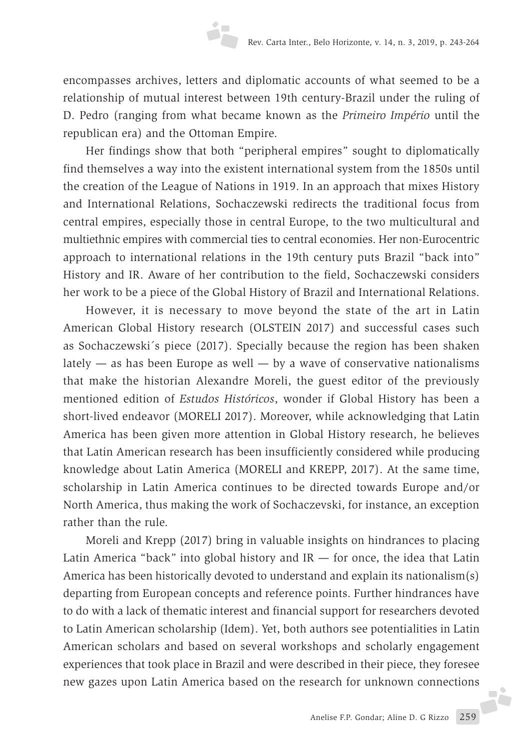encompasses archives, letters and diplomatic accounts of what seemed to be a relationship of mutual interest between 19th century-Brazil under the ruling of D. Pedro (ranging from what became known as the *Primeiro Império* until the republican era) and the Ottoman Empire.

Her findings show that both "peripheral empires" sought to diplomatically find themselves a way into the existent international system from the 1850s until the creation of the League of Nations in 1919. In an approach that mixes History and International Relations, Sochaczewski redirects the traditional focus from central empires, especially those in central Europe, to the two multicultural and multiethnic empires with commercial ties to central economies. Her non-Eurocentric approach to international relations in the 19th century puts Brazil "back into" History and IR. Aware of her contribution to the field, Sochaczewski considers her work to be a piece of the Global History of Brazil and International Relations.

However, it is necessary to move beyond the state of the art in Latin American Global History research (OLSTEIN 2017) and successful cases such as Sochaczewski´s piece (2017). Specially because the region has been shaken lately  $-$  as has been Europe as well  $-$  by a wave of conservative nationalisms that make the historian Alexandre Moreli, the guest editor of the previously mentioned edition of *Estudos Históricos*, wonder if Global History has been a short-lived endeavor (MORELI 2017). Moreover, while acknowledging that Latin America has been given more attention in Global History research, he believes that Latin American research has been insufficiently considered while producing knowledge about Latin America (MORELI and KREPP, 2017). At the same time, scholarship in Latin America continues to be directed towards Europe and/or North America, thus making the work of Sochaczevski, for instance, an exception rather than the rule.

Moreli and Krepp (2017) bring in valuable insights on hindrances to placing Latin America "back" into global history and  $IR$  — for once, the idea that Latin America has been historically devoted to understand and explain its nationalism(s) departing from European concepts and reference points. Further hindrances have to do with a lack of thematic interest and financial support for researchers devoted to Latin American scholarship (Idem). Yet, both authors see potentialities in Latin American scholars and based on several workshops and scholarly engagement experiences that took place in Brazil and were described in their piece, they foresee new gazes upon Latin America based on the research for unknown connections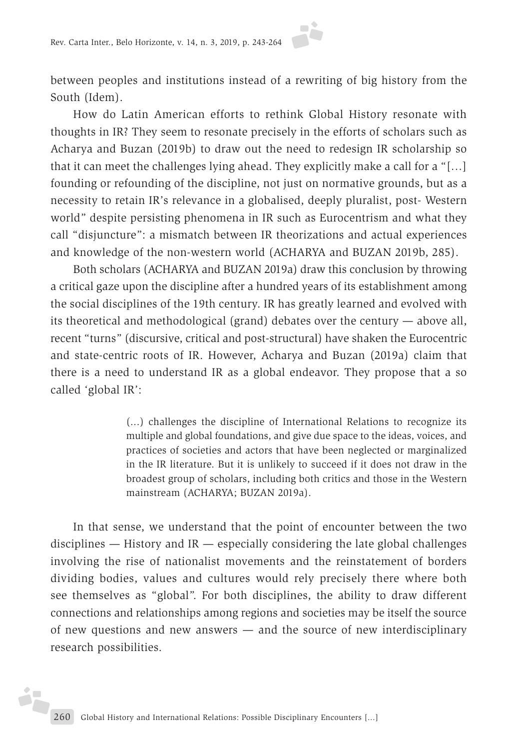between peoples and institutions instead of a rewriting of big history from the South (Idem).

How do Latin American efforts to rethink Global History resonate with thoughts in IR? They seem to resonate precisely in the efforts of scholars such as Acharya and Buzan (2019b) to draw out the need to redesign IR scholarship so that it can meet the challenges lying ahead. They explicitly make a call for a "[…] founding or refounding of the discipline, not just on normative grounds, but as a necessity to retain IR's relevance in a globalised, deeply pluralist, post- Western world" despite persisting phenomena in IR such as Eurocentrism and what they call "disjuncture": a mismatch between IR theorizations and actual experiences and knowledge of the non-western world (ACHARYA and BUZAN 2019b, 285).

Both scholars (ACHARYA and BUZAN 2019a) draw this conclusion by throwing a critical gaze upon the discipline after a hundred years of its establishment among the social disciplines of the 19th century. IR has greatly learned and evolved with its theoretical and methodological (grand) debates over the century — above all, recent "turns" (discursive, critical and post-structural) have shaken the Eurocentric and state-centric roots of IR. However, Acharya and Buzan (2019a) claim that there is a need to understand IR as a global endeavor. They propose that a so called 'global IR':

> (...) challenges the discipline of International Relations to recognize its multiple and global foundations, and give due space to the ideas, voices, and practices of societies and actors that have been neglected or marginalized in the IR literature. But it is unlikely to succeed if it does not draw in the broadest group of scholars, including both critics and those in the Western mainstream (ACHARYA; BUZAN 2019a).

In that sense, we understand that the point of encounter between the two disciplines  $-$  History and IR  $-$  especially considering the late global challenges involving the rise of nationalist movements and the reinstatement of borders dividing bodies, values and cultures would rely precisely there where both see themselves as "global". For both disciplines, the ability to draw different connections and relationships among regions and societies may be itself the source of new questions and new answers — and the source of new interdisciplinary research possibilities.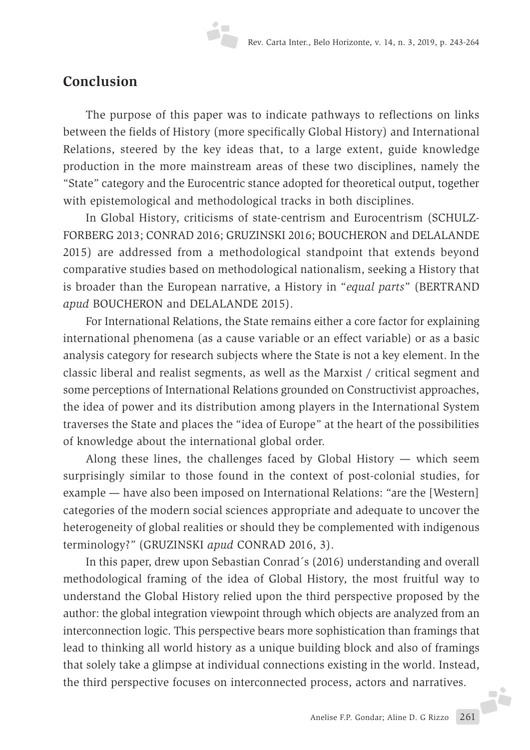### **Conclusion**

The purpose of this paper was to indicate pathways to reflections on links between the fields of History (more specifically Global History) and International Relations, steered by the key ideas that, to a large extent, guide knowledge production in the more mainstream areas of these two disciplines, namely the "State" category and the Eurocentric stance adopted for theoretical output, together with epistemological and methodological tracks in both disciplines.

In Global History, criticisms of state-centrism and Eurocentrism (SCHULZ-FORBERG 2013; CONRAD 2016; GRUZINSKI 2016; BOUCHERON and DELALANDE 2015) are addressed from a methodological standpoint that extends beyond comparative studies based on methodological nationalism, seeking a History that is broader than the European narrative, a History in "*equal parts*" (BERTRAND *apud* BOUCHERON and DELALANDE 2015).

For International Relations, the State remains either a core factor for explaining international phenomena (as a cause variable or an effect variable) or as a basic analysis category for research subjects where the State is not a key element. In the classic liberal and realist segments, as well as the Marxist / critical segment and some perceptions of International Relations grounded on Constructivist approaches, the idea of power and its distribution among players in the International System traverses the State and places the "idea of Europe" at the heart of the possibilities of knowledge about the international global order.

Along these lines, the challenges faced by Global History  $-$  which seem surprisingly similar to those found in the context of post-colonial studies, for example — have also been imposed on International Relations: "are the [Western] categories of the modern social sciences appropriate and adequate to uncover the heterogeneity of global realities or should they be complemented with indigenous terminology?*"* (GRUZINSKI *apud* CONRAD 2016, 3).

In this paper, drew upon Sebastian Conrad´s (2016) understanding and overall methodological framing of the idea of Global History, the most fruitful way to understand the Global History relied upon the third perspective proposed by the author: the global integration viewpoint through which objects are analyzed from an interconnection logic. This perspective bears more sophistication than framings that lead to thinking all world history as a unique building block and also of framings that solely take a glimpse at individual connections existing in the world. Instead, the third perspective focuses on interconnected process, actors and narratives.J.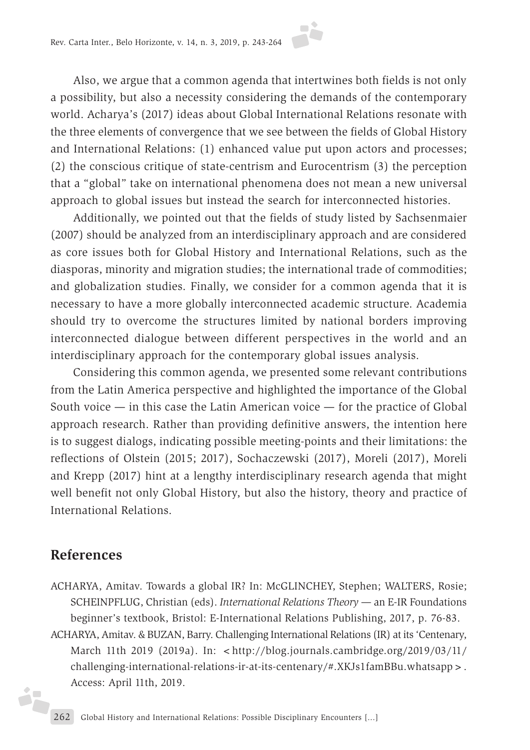Also, we argue that a common agenda that intertwines both fields is not only a possibility, but also a necessity considering the demands of the contemporary world. Acharya's (2017) ideas about Global International Relations resonate with the three elements of convergence that we see between the fields of Global History and International Relations: (1) enhanced value put upon actors and processes; (2) the conscious critique of state-centrism and Eurocentrism (3) the perception that a "global" take on international phenomena does not mean a new universal approach to global issues but instead the search for interconnected histories.

Additionally, we pointed out that the fields of study listed by Sachsenmaier (2007) should be analyzed from an interdisciplinary approach and are considered as core issues both for Global History and International Relations, such as the diasporas, minority and migration studies; the international trade of commodities; and globalization studies. Finally, we consider for a common agenda that it is necessary to have a more globally interconnected academic structure. Academia should try to overcome the structures limited by national borders improving interconnected dialogue between different perspectives in the world and an interdisciplinary approach for the contemporary global issues analysis.

Considering this common agenda, we presented some relevant contributions from the Latin America perspective and highlighted the importance of the Global South voice — in this case the Latin American voice — for the practice of Global approach research. Rather than providing definitive answers, the intention here is to suggest dialogs, indicating possible meeting-points and their limitations: the reflections of Olstein (2015; 2017), Sochaczewski (2017), Moreli (2017), Moreli and Krepp (2017) hint at a lengthy interdisciplinary research agenda that might well benefit not only Global History, but also the history, theory and practice of International Relations.

### **References**

j.

- ACHARYA, Amitav. Towards a global IR? In: McGLINCHEY, Stephen; WALTERS, Rosie; SCHEINPFLUG, Christian (eds). *International Relations Theory —* an E-IR Foundations beginner's textbook, Bristol: E-International Relations Publishing, 2017, p. 76-83.
- ACHARYA, Amitav. & BUZAN, Barry. Challenging International Relations (IR) at its 'Centenary, March 11th 2019 (2019a). In: <http://blog.journals.cambridge.org/2019/03/11/ challenging-international-relations-ir-at-its-centenary/#.XKJs1famBBu.whatsapp>. Access: April 11th, 2019.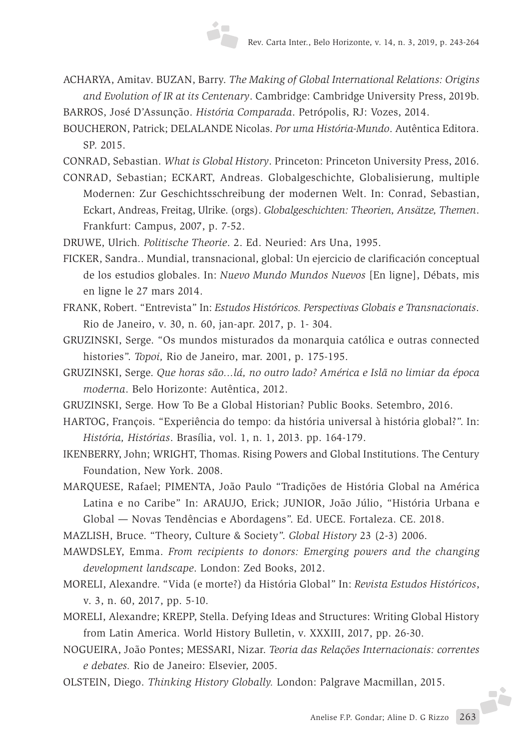- ACHARYA, Amitav. BUZAN, Barry. *The Making of Global International Relations: Origins and Evolution of IR at its Centenary*. Cambridge: Cambridge University Press, 2019b.
- BARROS, José D'Assunção. *História Comparada*. Petrópolis, RJ: Vozes, 2014.
- BOUCHERON, Patrick; DELALANDE Nicolas. *Por uma História-Mundo*. Autêntica Editora. SP. 2015.
- CONRAD, Sebastian. *What is Global History*. Princeton: Princeton University Press, 2016.
- CONRAD, Sebastian; ECKART, Andreas. Globalgeschichte, Globalisierung, multiple Modernen: Zur Geschichtsschreibung der modernen Welt. In: Conrad, Sebastian, Eckart, Andreas, Freitag, Ulrike. (orgs). *Globalgeschichten: Theorien, Ansätze, Themen*. Frankfurt: Campus, 2007, p. 7-52.
- DRUWE, Ulrich*. Politische Theorie*. 2. Ed. Neuried: Ars Una, 1995.
- FICKER, Sandra.. Mundial, transnacional, global: Un ejercicio de clarificación conceptual de los estudios globales. In: *Nuevo Mundo Mundos Nuevos* [En ligne], Débats, mis en ligne le 27 mars 2014.
- FRANK, Robert. "Entrevista" In: *Estudos Históricos. Perspectivas Globais e Transnacionais*. Rio de Janeiro, v. 30, n. 60, jan-apr. 2017, p. 1- 304.
- GRUZINSKI, Serge. "Os mundos misturados da monarquia católica e outras connected histories". *Topoi,* Rio de Janeiro, mar. 2001, p. 175-195.
- GRUZINSKI, Serge. *Que horas são...lá, no outro lado? América e Islã no limiar da época moderna*. Belo Horizonte: Autêntica, 2012.
- GRUZINSKI, Serge. How To Be a Global Historian? Public Books. Setembro, 2016.
- HARTOG, François. "Experiência do tempo: da história universal à história global?". In: *História, Histórias*. Brasília, vol. 1, n. 1, 2013. pp. 164-179.
- IKENBERRY, John; WRIGHT, Thomas. Rising Powers and Global Institutions. The Century Foundation, New York. 2008.
- MARQUESE, Rafael; PIMENTA, João Paulo "Tradições de História Global na América Latina e no Caribe" In: ARAUJO, Erick; JUNIOR, João Júlio, "História Urbana e Global — Novas Tendências e Abordagens". Ed. UECE. Fortaleza. CE. 2018.
- MAZLISH, Bruce. "Theory, Culture & Society". *Global History* 23 (2-3) 2006.
- MAWDSLEY, Emma. *From recipients to donors: Emerging powers and the changing development landscape*. London: Zed Books, 2012.
- MORELI, Alexandre. "Vida (e morte?) da História Global" In: *Revista Estudos Históricos*, v. 3, n. 60, 2017, pp. 5-10.
- MORELI, Alexandre; KREPP, Stella. Defying Ideas and Structures: Writing Global History from Latin America. World History Bulletin, v. XXXIII, 2017, pp. 26-30.
- NOGUEIRA, João Pontes; MESSARI, Nizar. *Teoria das Relações Internacionais: correntes e debates.* Rio de Janeiro: Elsevier, 2005.
- OLSTEIN, Diego. *Thinking History Globally.* London: Palgrave Macmillan, 2015.